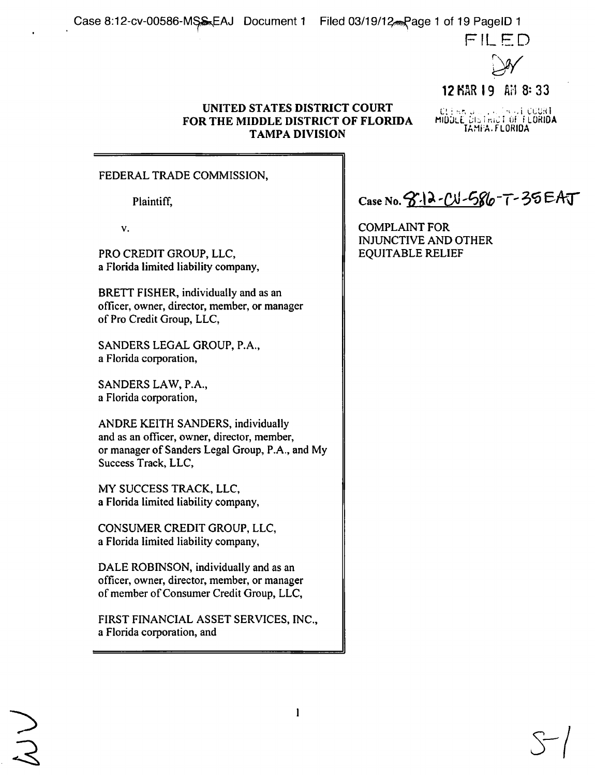

12 KAR 19 AM 8: 33

# . I. : • ... i. COURT

## **UNITED STATES DISTRICT COURT FOR THE MIDDLE DISTRICT OF FLORIDA** TAMPA DIVISION<br>TAMPA DIVISION

# FEDERAL TRADE COMMISSION,

 $\mathbf{v}$ .

PRO CREDIT GROUP, LLC,  $\parallel$  EQUITABLE RELIEF a Florida limited liability company,

BRETT FISHER, individually and as an officer, owner, director, member, or manager of Pro Credit Group, LLC,

SANDERS LEGAL GROUP, P.A., a Florida corporation,

SANDERS LAW, P.A., a Florida corporation,

ANDRE KEITH SANDERS, individually and as an officer, owner, director, member, or manager of Sanders Legal Group, P.A., and My Success Track, LLC,

MY SUCCESS TRACK, LLC, a Florida limited liability company,

CONSUMER CREDIT GROUP, LLC, a Florida limited liability company,

DALE ROBINSON, individually and as an officer, owner, director, member, or manager of member of Consumer Credit Group, LLC,

FIRST FINANCIAL ASSET SERVICES, INC., a Florida corporation, and

 $\mathbf{1}$ 

Plaintiff,  $\|\text{Case No. } 3.12 - \text{C} \sqrt{366} - 7 - 35 \text{ EAT}$ 

COMPLAlNT FOR INJUNCTIVE AND OTHER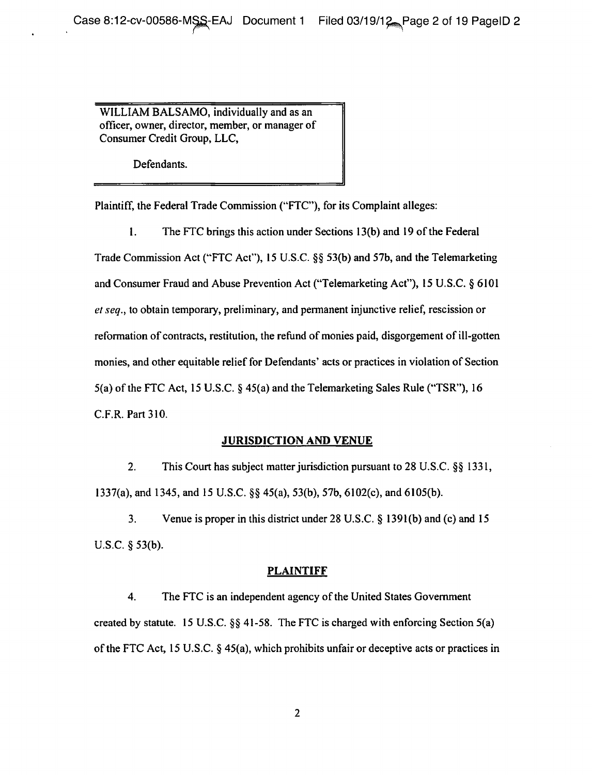WILLIAM BALSAMO, individually and as an officer, owner, director, member, or manager of Consumer Credit Group, LLC,

Defendants.

Plaintiff, the Federal Trade Commission ("FTC"), for its Complaint alleges:

I. The FTC brings this action under Sections 13(b) and 19 of the Federal Trade Commission Act ("FTC Act"), 15 U.S.C.  $\S$  53(b) and 57b, and the Telemarketing and Consumer Fraud and Abuse Prevention Act (" Telemarketing Act"), 15 U.S.C. \$ 6101 et seq., to obtain temporary, preliminary, and permanent injunctive relief, rescission or reformation of contracts, restitution, the refund of monies paid, disgorgement of ill-gotten monies, and other equitable relief for Defendants' acts or practices in violation of Section 5(a) of the FTC Act, 15 U.S.C.  $\S$  45(a) and the Telemarketing Sales Rule ("TSR"), 16 C.F.R. Part 310.

# **JURISDICTION AND VENUE**

2. This Court has subject matter jurisdiction pursuant to 28 U.S.C. §§ 1331, 1337(a), and 1345, and 15 U.S.C. §§ 45(a), 53(b), 57b, 6102(c), and 6105(b).

3. Venue is proper in this district under 28 U.S.C.  $\S$  1391(b) and (c) and 15 U.S.C.  $§$  53(b).

# PLAINTIFF

4. The FTC is an independent agency of the United States Government created by statute. 15 U.S.C.  $\S$  41-58. The FTC is charged with enforcing Section 5(a) of the FTC Act, 15 U.S.C.  $\S$  45(a), which prohibits unfair or deceptive acts or practices in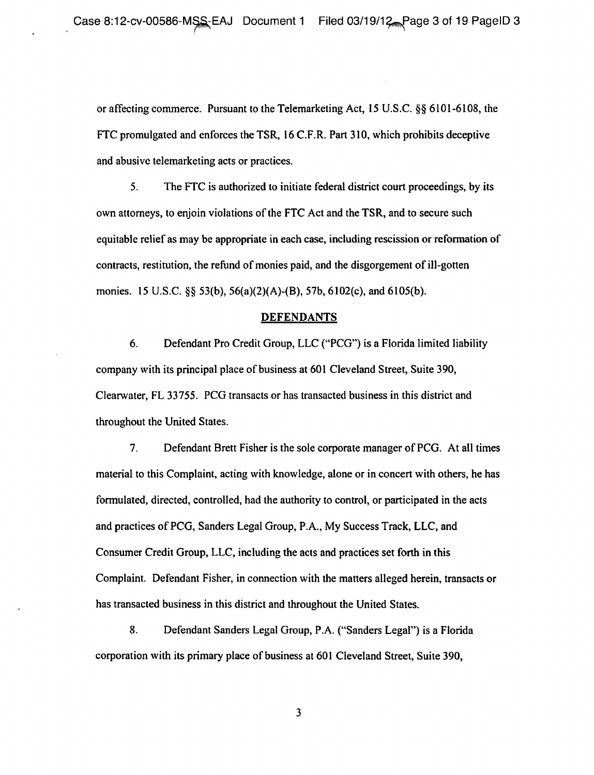or affecting commerce. Pursuant to the Telemarketing Act, 15 U.S.C. gg 6101-6108, the FTC promulgated and enforces the TSR, 16 C.F.R. Part 310, which prohibits deceptive and abusive telemarketing acts or practices.

5. The FTC is authorized to initiate federal district court proceedings, by its own attorneys, to enjoin violations of the FTC Act and the TSR, and to secure such equitable relief as may be appropriate in each case, including rescission or reformation of contracts, restitution, the refund of monies paid, and the disgorgement of ill-gotten monies. 15 U.S.C. §§ 53(b), 56(a)(2)(A)-(B), 57b, 6102(c), and 6105(b).

#### **DEFENDANTS**

6. Defendant Pro Credit Group, LLC ("PCG") is a Florida limited liability company with its principal place of business at 601 Cleveland Street, Suite 390, Clearwater, FL 33755. PCG transacts or has transacted business in this district and throughout the United States.

7. Defendant Brett Fisher is the sole corporate manager of PCG. At all times material to this Complaint, acting with knowledge, alone or in concert with others, he has formulated, directed, controlled, had the authority to control, or participated in the acts and practices of PCG, Sanders Legal Group, P.A., My Success Track, LLC, and Consumer Credit Group, LLC, including the acts and practices set forth in this Complaint. Defendant Fisher, in connection with the matters alleged herein, transacts or has transacted business in this district and throughout the United States.

8. Defendant Sanders Legal Group, P.A. ("Sanders Legal") is a Florida corporation with its primary place of business at 601 Cleveland Street, Suite 390,

 $\mathbf{3}$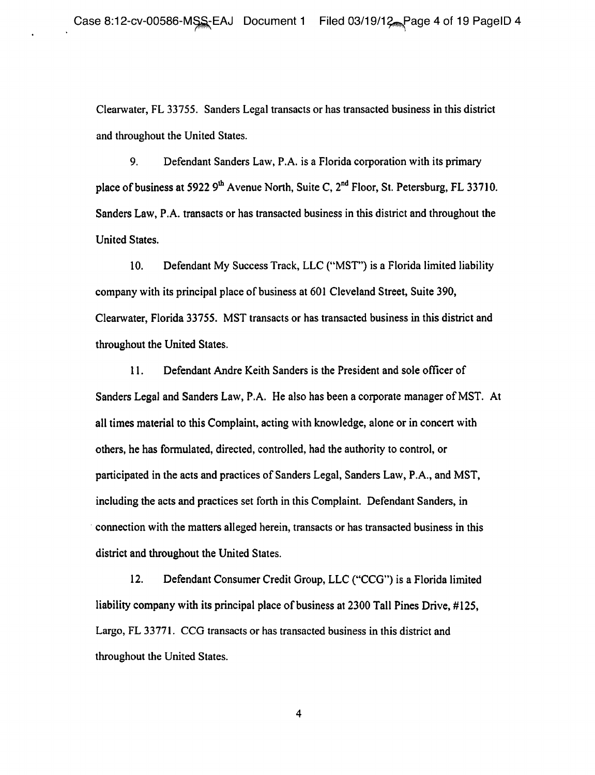Clearwater, FL 33755. Sanders Legal transacts or has transacted business in this district and throughout the United States.

9. Defendant Sanders Law, P.A. is a Florida corporation with its primary place of business at 5922  $9<sup>th</sup>$  Avenue North, Suite C,  $2<sup>nd</sup>$  Floor, St. Petersburg, FL 33710. Sanders Law, P.A. transacts or has transacted business in this district and throughout the United States.

10. Defendant My Success Track, LLC ("MST") is a Florida limited liability company with its principal place of business at 601 Cleveland Street, Suite 390, Clearwater, Florida 33755. MST transacts or has transacted business in this district and throughout the United States.

11. Defendant Andre Keith Sanders is the President and sole officer of Sanders Legal and Sanders Law, P.A. He also has been a corporate manager of MST. At all times material to this Complaint, acting with knowledge, alone or in concert with others, he has formulated, directed, controlled, had the authority to control, or participated in the acts and practices of Sanders Legal, Sanders Law, P.A., and MST, including the acts and practices set forth in this Complaint. Defendant Sanders, in connection with the matters alleged herein, transacts or has transacted business in this district and throughout the United States.

12. Defendant Consumer Credit Group, LLC ("CCG") is a Florida limited liability company with its principal place of business at 2300 Tall Pines Drive, #125, Largo, FL 33771. CCG transacts or has transacted business in this district and throughout the United States,

 $\overline{\mathbf{4}}$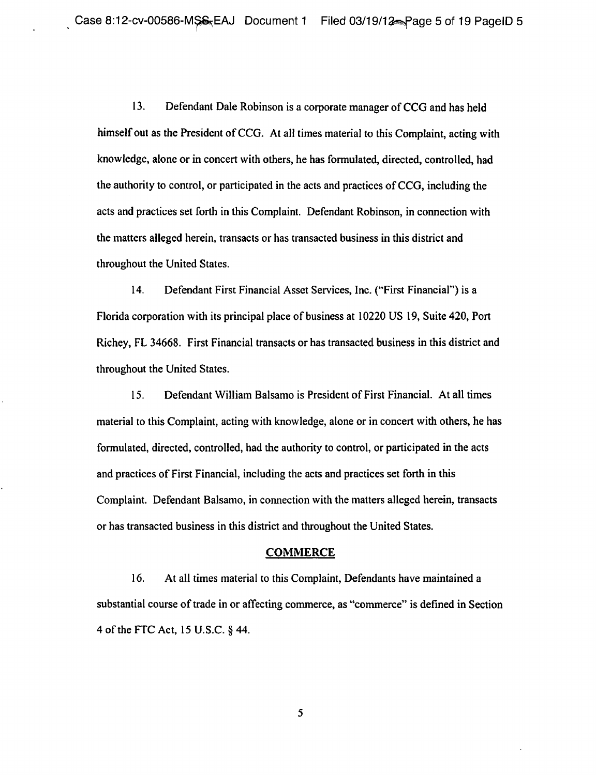13. Defendant Dale Robinson is a corporate manager of CCG and has held himself out as the President of CCG. At all times material to this Complaint, acting with knowledge, alone or in concert with others, he has formulated, directed, controlled, had the authority to control, or participated in the acts and practices of CCG, including the acts and practices set forth in this Complaint. Defendant Robinson, in connection with the matters alleged herein, transacts or has transacted business in this district and throughout the United States.

14. Defendant First Financial Asset Services, Inc. ("First Financial") is a Florida corporation with its principal place of business at 10220 US 19, Suite 420, Port Richey, FL 34668. First Financial transacts or has transacted business in this district and throughout the United States.

15. Defendant William Balsamo is President of First Financial. At all times material to this Complaint, acting with knowledge, alone or in concert with others, he has formulated, directed, controlled, had the authority to control, or participated in the acts and practices of First Financial, including the acts and practices set forth in this Complaint. Defendant Balsamo, in connection with the matters alleged herein, transacts or has transacted business in this district and throughout the United States.

#### COMMERCE

16. At all times material to this Complaint, Defendants have maintained a substantial course of trade in or affecting commerce, as "commerce" is defined in Section 4 of the FTC Act, 15 U.S.C. § 44.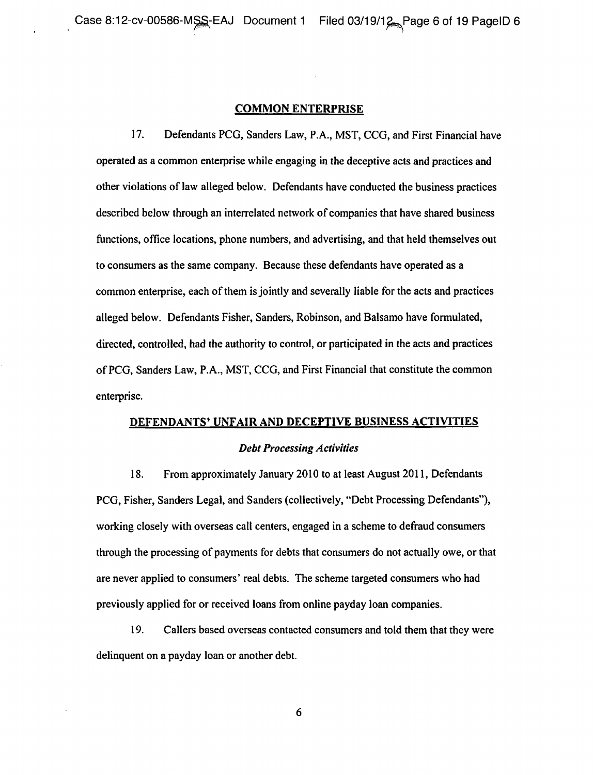#### **COMMON ENTERPRISE**

17. Defendants PCG, Sanders Law, P.A., MST, CCG, and First Financial have operated as a common enterprise while engaging in the deceptive acts and practices and other violations of law alleged below. Defendants have conducted the business practices described below through an interrelated network of companies that have shared business functions, office locations, phone numbers, and advertising, and that held themselves out to consumers as the same company. Because these defendants have operated as a common enterprise, each of them is jointly and severally liable for the acts and practices alleged below. Defendants Fisher, Sanders, Robinson, and Balsamo have formulated, directed, controlled, had the authority to control, or participated in the acts and practices of PCG, Sanders Law, P.A., MST, CCG, and First Financial that constitute the common enterprise.

# **DEFENDANTS' UNFAIR AND DECEPTIVE BUSINESS ACTIVITIES** Debt Processing Activities

18. From approximately January 2010 to at least August 2011, Defendants PCG, Fisher, Sanders Legal, and Sanders (collectively, "Debt Processing Defendants"), working closely with overseas call centers, engaged in a scheme to defraud consumers through the processing of payments for debts that consumers do not actually owe, or that are never applied to consumers' real debts. The scheme targeted consumers who had previously applied for or received loans from online payday loan companies.

19. Callers based overseas contacted consumers and told them that they were delinquent on a payday loan or another debt.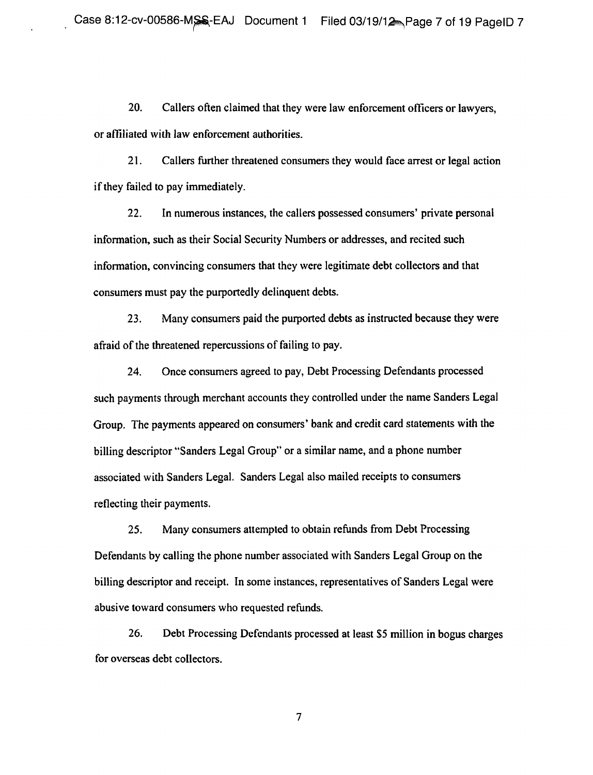20. Callers often claimed that they were law enforcement officers or lawyers, or affiliated with law enforcement authorities.

21. Callers further threatened consumers they would face arrest or legal action if they failed to pay immediately.

22. In numerous instances, the callers possessed consumers' private personal information, such as their Social Security Numbers or addresses, and recited such information, convincing consumers that they were legitimate debt collectors and that consumers must pay the purportedly delinquent debts.

23. Many consumers paid the purported debts as instructed because they were afraid of the threatened repercussions of failing to pay.

24. Once consumers agreed to pay, Debt Processing Defendants processed such payments through merchant accounts they controlled under the name Sanders Legal Group. The payments appeared on consumers' bank and credit card statements with the billing descriptor "Sanders Legal Group" or a similar name, and a phone number associated with Sanders Legal. Sanders Legal also mailed receipts to consumers reflecting their payments.

25. Many consumers attempted to obtain refunds from Debt Processing Defendants by calling the phone number associated with Sanders Legal Group on the billing descriptor and receipt. In some instances, representatives of Sanders Legal were abusive toward consumers who requested refunds.

26. Debt Processing Defendants processed at least \$5 million in bogus charges for overseas debt collectors.

 $\overline{7}$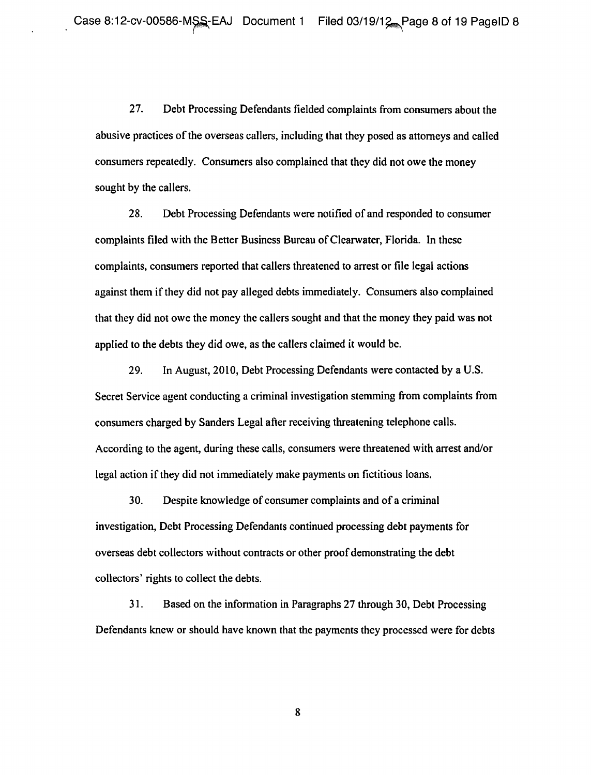27. Debt Processing Defendants fielded complaints from consumers about the abusive practices of the overseas callers, including that they posed as attorneys and called consumers repeatedly. Consumers also complained that they did not owe the money sought by the callers.

28. Debt Processing Defendants were notified of and responded to consumer complaints filed with the Better Business Bureau of Clearwater, Florida. In these complaints, consumers reported that callers threatened to arrest or file legal actions against them if they did not pay alleged debts immediately. Consumers also complained that they did not owe the money the callers sought and that the money they paid was not applied to the debts they did owe, as the callers claimed it would be.

29. In August, 2010, Debt Processing Defendants were contacted by a U.S. Secret Service agent conducting a criminal investigation stemming from complaints from consumers charged by Sanders Legal after receiving threatening telephone calls. According to the agent, during these calls, consumers were threatened with arrest and/or legal action if they did not immediately make payments on fictitious loans.

30. Despite knowledge of consumer complaints and of a criminal investigation, Debt Processing Defendants continued processing debt payments for overseas debt collectors without contracts or other proof demonstrating the debt collectors' rights to collect the debts.

31. Ba sed on the information in Paragraphs 27 through 30, Debt Processing Defendants knew or should have known that the payments they processed were for debts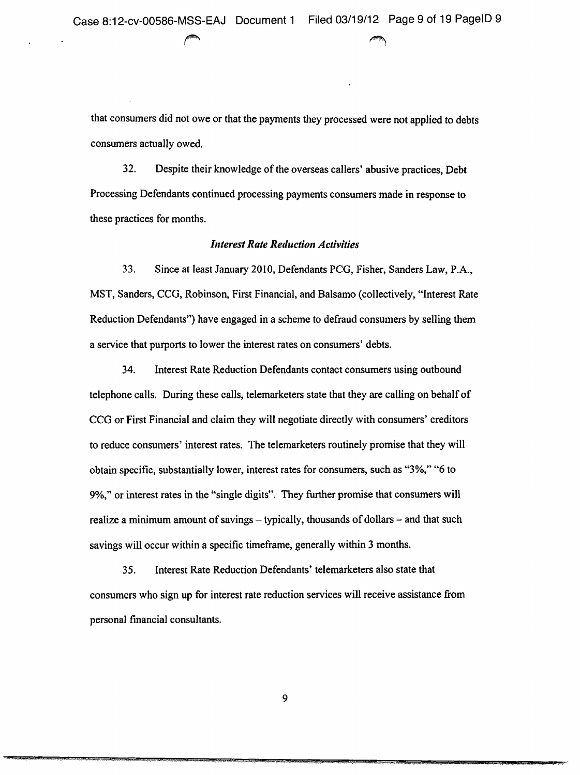that consumers did not owe or that the payments they processed were not applied to debts consumers actually owed.

32. Despite their knowledge of the overseas callers' abusive practices, Debt Processing Defendants continued processing payments consumers made in response to these practices for months.

#### **Interest Rate Reduction Activities**

33. Since at least January 2010, Defendants **PCG,** Fisher, Sanders Law, P.A., MST, Sanders, CCG, Robinson, First Financial, and Balsamo (collectively, "Interest Rate Reduction Defendants") have engaged in a scheme to defraud consumers by selling them a service that purports to lower the interest rates on consumers' debts.

34. Interest Rate Reduction Defendants contact consumers using outbound telephone calls. During these calls, telemarketers state that they are calling on behalf of CCG or **First** Financial and claim they will negotiate directly with consumers' creditors to reduce consumers' interest rates. The telemarketers routinely promise that they will obtain specific, substantially lower, interest rates for consumers, such as "3%," "6 to 9%," or interest rates in **the** "single digits". They further promise that consumers will realize a minimum amount of savings — typically, thousands of dollars — and that such savings will occur within a specific timeframe, generally within 3 months.

35. Int erest Rate Reduction Defendants' telemarketers also state that consumers who sign up for interest rate reduction services will receive assistance from personal financial consultants.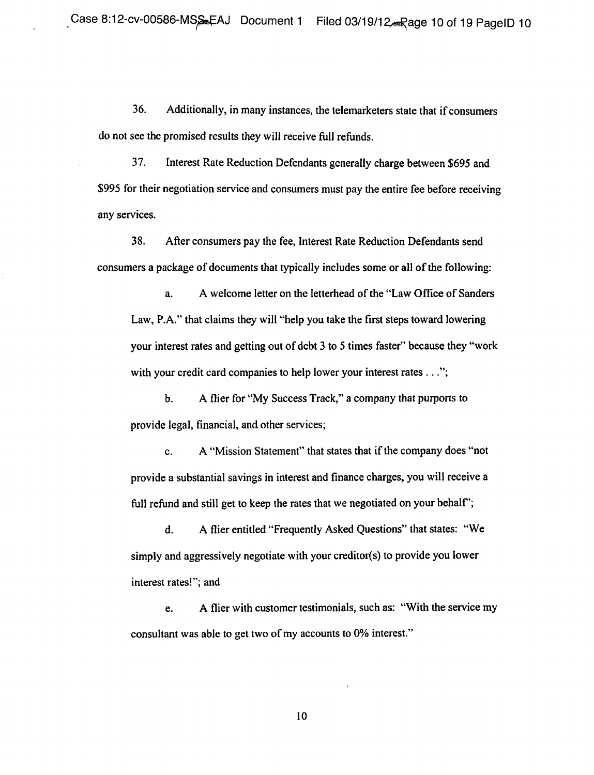36. Additionally, in many instances, the telemarketers state that if consumers do not see the promised results they will receive full refunds.

37. Interest Rate Reduction Defendants generally charge between \$695 and \$995 for their negotiation service and consumers must pay the entire fee before receiving any services.

38. After consumers pay the fee, Interest Rate Reduction Defendants send consumers a package of documents that typically includes some or all of the following:

a. A welcome letter on the letterhead of the "Law Office of Sanders" Law, P.A." that claims they will "help you take the first steps toward lowering your interest rates and getting out of debt 3 to 5 times faster" because they "work with your credit card companies to help lower your interest rates . . .";

b. A flier for "My Success Track," a company that purports to provide legal, financial, and other services;

c. A "Mission Statement" that states that if the company does "not provide a substantial savings in interest and finance charges, you will receive a full refund and still get to keep the rates that we negotiated on your behalf';

d. A flier entitled "Frequently Asked Questions" that states: "We simply and aggressively negotiate with your creditor(s) to provide you lower interest rates!"; and

e. A flier with customer testimonials, such as: "With the service my consultant was able to get two of my accounts to 0% interest."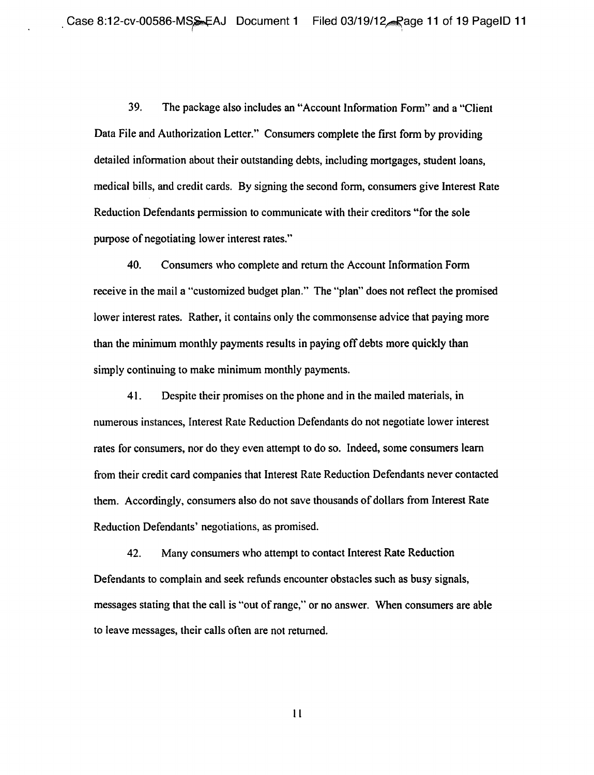39. The package also includes an "Account Information Form" and a "Client" Data File and Authorization Letter." Consumers complete the first form by providing detailed information about their outstanding debts, including mortgages, student loans, medical bills, and credit cards. By signing the second form, consumers give Interest Rate Reduction Defendants permission to communicate with their creditors "for the sole purpose of negotiating lower interest rates,"

40. Consumers who complete and return the Account Information Form receive in the mail a "customized budget plan." The "plan" does not reflect the promised lower interest rates. Rather, it contains only the commonsense advice that paying more than the minimum monthly payments results in paying off debts more quickly than simply continuing to make minimum monthly payments.

41. Despite their promises on the phone and in the mailed materials, in numerous instances, Interest Rate Reduction Defendants do not negotiate lower interest rates for consumers, nor do they even attempt to do so. Indeed, some consumers learn from their credit card companies that Interest Rate Reduction Defendants never contacted them. Accordingly, consumers also do not save thousands of dollars from Interest Rate Reduction Defendants' negotiations, as promised.

42. Many consumers who attempt to contact Interest Rate Reduction Defendants to complain and seek refunds encounter obstacles such as busy signals, messages stating that the call is "out of range," or no answer. When consumers are able to leave messages, their calls often are not returned.

 $\mathbf{11}$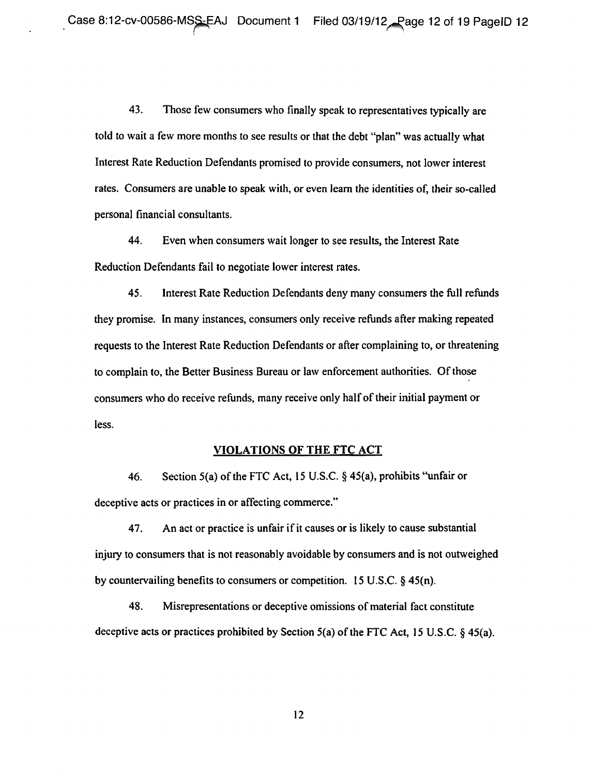43. Those few consumers who finally speak to representatives typically are told to wait a few more months to see results or that the debt "plan" was actually what Interest Rate Reduction Defendants promised to provide consumers, not lower interest rates. Consumers are unable to speak with, or even learn the identities of, their so-called personal financial consultants.

44. Even when consumers wait longer to see results, the Interest Rate Reduction Defendants fail to negotiate lower interest rates.

45. Interest Rate Reduction Defendants deny many consumers the full refunds they promise. In many instances, consumers only receive refunds after making repeated requests to the Interest Rate Reduction Defendants or after complaining to, or threatening to complain to, the Better Business Bureau or law enforcement authorities. Of those consumers who do receive refunds, many receive only half of their initial payment or less.

#### **VIOLATIONS OF THE FTC ACT**

46. Section 5(a) of the FTC Act, 15 U.S.C.  $\S$  45(a), prohibits "unfair or deceptive acts or practices in or affecting commerce."

47. An act or practice is unfair if it causes or is likely to cause substantial injury to consumers that is not reasonably avoidable by consumers and is not outweighed by countervailing benefits to consumers or competition. 15 U.S.C.  $\S$  45(n).

48. Misrepresentations or deceptive omissions of material fact constitute deceptive acts or practices prohibited by Section  $5(a)$  of the FTC Act, 15 U.S.C. § 45(a).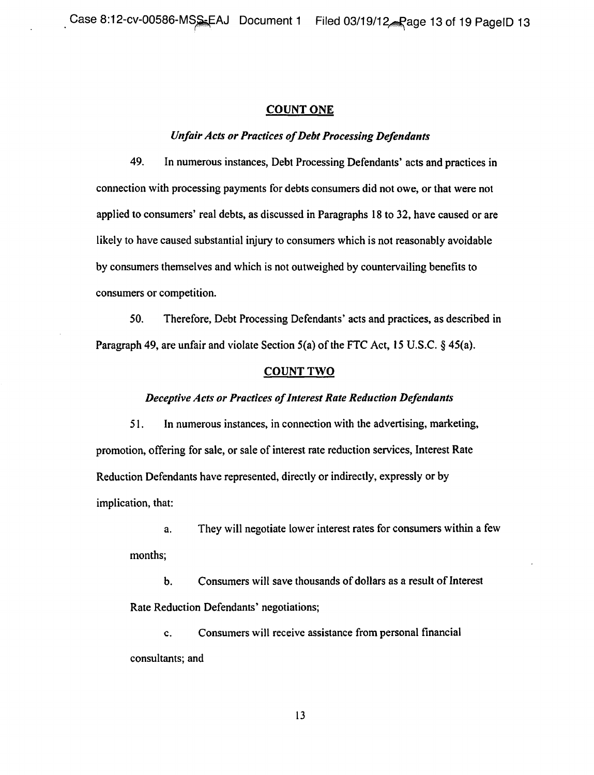#### **COUNT ONE**

# **Unfair Acts or Practices of Debt Processing Defendants**

49. In numerous instances, Debt Processing Defendants' acts and practices in connection with processing payments for debts consumers did not owe, or that were not applied to consumers' real debts, as discussed in Paragraphs 18 to 32, have caused or are likely to have caused substantial injury to consumers which is not reasonably avoidable by consumers themselves and which is not outweighed by countervailing benefits to consumers or competition.

50. Therefore, Debt Processing Defendants' acts and practices, as described in Paragraph 49, are unfair and violate Section  $5(a)$  of the FTC Act, 15 U.S.C.  $\S$  45(a).

### **COUNT TWO**

#### **Deceptive Acts or Practices of Interest Rate Reduction Defendants**

51, In numerous instances, in connection with the advertising, marketing, promotion, offering for sale, or sale of interest rate reduction services, Interest Rate Reduction Defendants have represented, directly or indirectly, expressly or by implication, that:

a. They will negotiate lower interest rates for consumers within a few months;

b. Consumers will save thousands of dollars as a result of Interest Rate Reduction Defendants' negotiations;

c. Consumers will receive assistance from personal financial consultants; and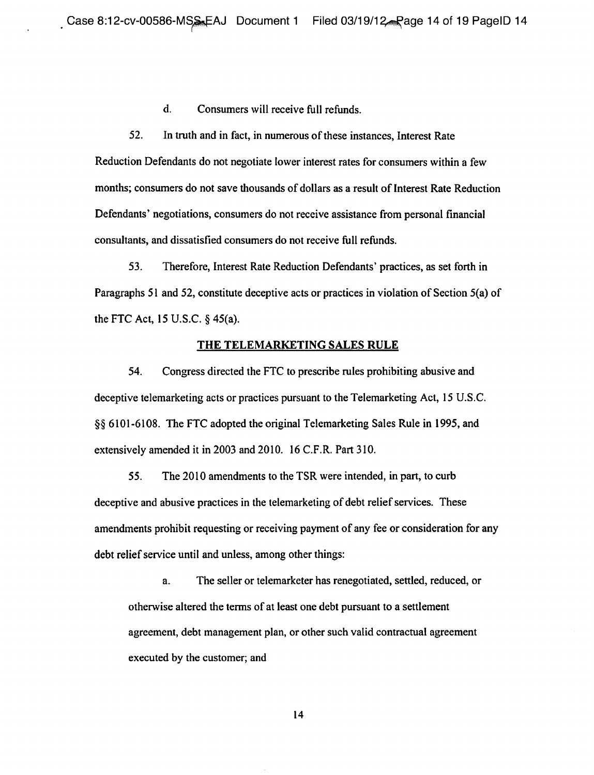d. Consumers will receive full refunds.

52. In truth and in fact, in numerous of these instances, Interest Rate Reduction Defendants do not negotiate lower interest rates for consumers within a few months; consumers do not save thousands of dollars as a result of Interest Rate Reduction Defendants' negotiations, consumers do not receive assistance from personal financial consultants, and dissatisfied consumers do not receive full refunds.

53. Therefore, Interest Rate Reduction Defendants' practices, as set forth in Paragraphs 51 and 52, constitute deceptive acts or practices in violation of Section 5(a) of the FTC Act,  $15$  U.S.C.  $\S$  45(a).

#### **THE TELEMARKETING SALES RULE**

54. Congress directed the FTC to prescribe rules prohibiting abusive and deceptive telemarketing acts or practices pursuant to the Telemarketing Act, 15 U.S.C. g) 6101-6108. The FTC adopted the original Telemarketing Sales Rule in 1995, and extensively amended it in 2003 and 2010. 16 C.F.R. Part 310.

55. The 2010 amendments to the TSR were intended, in part, to curb deceptive and abusive practices in the telemarketing of debt relief services. These amendments prohibit requesting or receiving payment of any fee or consideration for any debt relief service until and unless, among other things:

a. The seller or telemarketer has renegotiated, settled, reduced, or otherwise altered the terms of at least one debt pursuant to a settlement agreement, debt management plan, or other such valid contractual agreement executed by the customer; and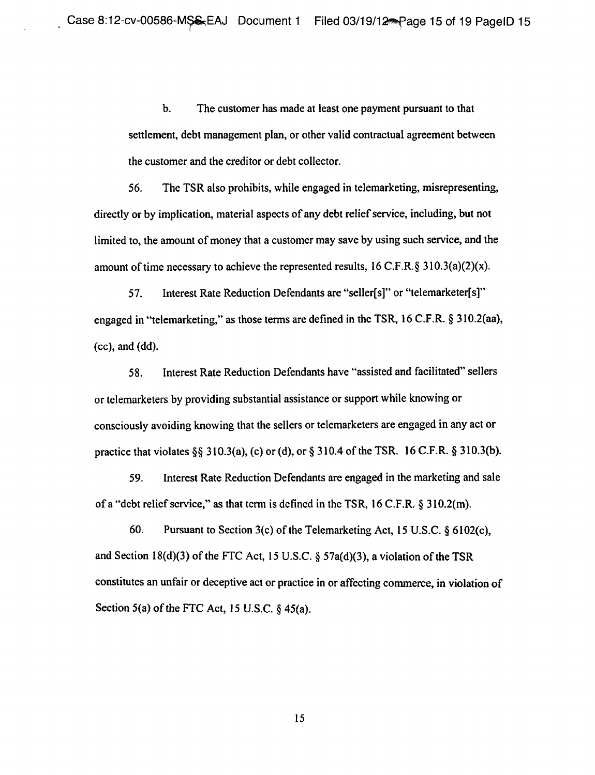b. The customer has made at least one payment pursuant to that settlement, debt management plan, or other valid contractual agreement between the customer and the creditor or debt collector.

56. The TSR also prohibits, while engaged in telemarketing, misrepresenting, directly or by implication, material aspects of any debt relief service, including, but not limited to, the amount of money that a customer may save by using such service, and the amount of time necessary to achieve the represented results,  $16$  C.F.R. $\S$  310.3(a)(2)(x).

57. Interest Rate Reduction Defendants are "seller[s]" or "telemarketer[s]" engaged in "telemarketing," as those terms are defined in the TSR, 16 C.F.R. g 310.2(aa), (cc), and (dd).

58. Interest Rate Reduction Defendants have "assisted and facilitated" sellers or telemarketers by providing substantial assistance or support while knowing or consciously avoiding knowing that the sellers or telernarketers are engaged in any act or practice that violates  $\S\S 310.3(a)$ , (c) or (d), or  $\S 310.4$  of the TSR. 16 C.F.R.  $\S 310.3(b)$ .

59. Interest Rate Reduction Defendants are engaged in the marketing and sale of a "debt relief service," as that term is defined in the TSR,  $16$  C.F.R.  $\S$  310.2(m).

60. Pursuant to Section 3(c) of the Telemarketing Act, 15 U.S.C.  $\S$  6102(c), and Section 18(d)(3) of the FTC Act, 15 U.S.C.  $\S$  57a(d)(3), a violation of the TSR constitutes an unfair or deceptive act or practice in or affecting commerce, in violation of Section 5(a) of the FTC Act, 15 U.S.C.  $\S$  45(a).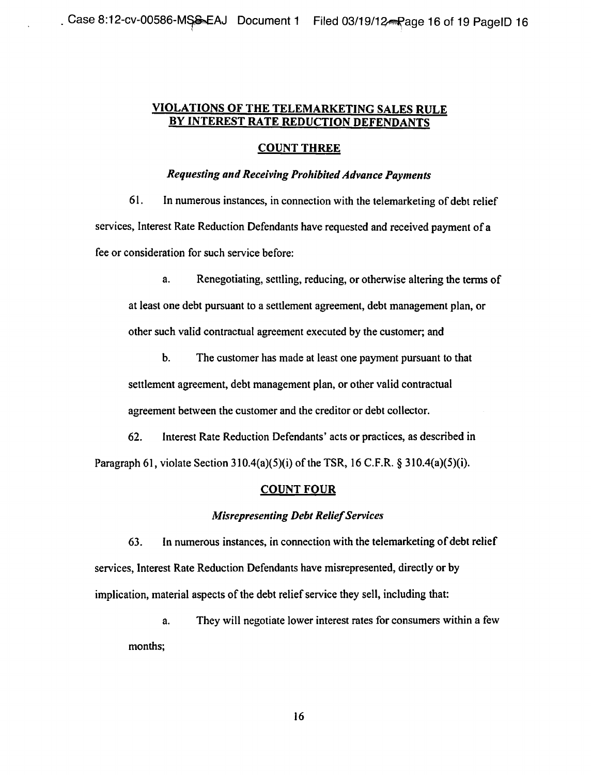# **VIOLATIONS OF THE TELEMARKETING SALES RULE BY INTEREST RATE REDUCTION DEFENDANTS**

# **COUNT THREE**

# **Requesting and Receiving Prohibited Advance Payments**

61. In numerous instances, in connection with the telemarketing of debt relief services, Interest Rate Reduction Defendants have requested and received payment of a fee or consideration for such service before;

a. Renegotiating, settling, reducing, or otherwise altering the terms of at least one debt pursuant to a settlement agreement, debt management plan, or other such valid contractual agreement executed by the customer; and

b. The customer has made at least one payment pursuant to that settlement agreement, debt management plan, or other valid contractual agreement between the customer and the creditor or debt collector.

62. Interest Rate Reduction Defendants' acts or practices, as described in Paragraph 61, violate Section  $310.4(a)(5)(i)$  of the TSR, 16 C.F.R. §  $310.4(a)(5)(i)$ .

# **COUNT FOUR**

# **Misrepresenting Debt Relief Services**

63. In numerous instances, in connection with the telemarketing of debt relief services, Interest Rate Reduction Defendants have misrepresented, directly or by implication, material aspects of the debt relief service they sell, including that:

a. They will negotiate lower interest rates for consumers within a few months;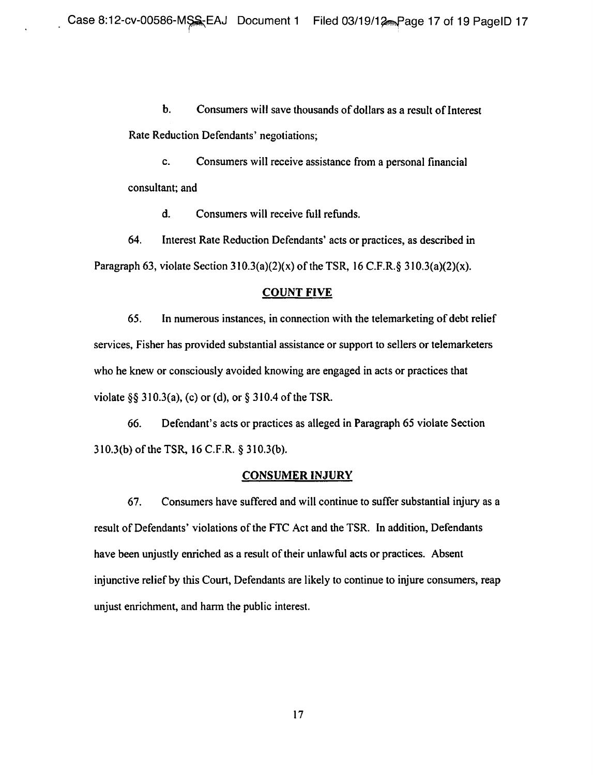b. Consumers will save thousands of dollars as a result of Interest Rate Reduction Defendants' negotiations;

c. Consumers will receive assistance from a personal financial consultant; and

d. Consumers will receive full refunds.

64. Interest Rate Reduction Defendants' acts or practices, as described in Paragraph 63, violate Section 310.3(a)(2)(x) of the TSR, 16 C.F.R.§ 310.3(a)(2)(x).

# COUNT FIVE

65. In numerous instances, in connection with the telemarketing of debt relief services, Fisher has provided substantial assistance or support to sellers or telemarketers who he knew or consciously avoided knowing are engaged in acts or practices that violate §§ 310.3(a), (c) or (d), or § 310.4 of the TSR.

66. Defendant's acts or practices as alleged in Paragraph 65 violate Section 310.3(b) of the TSR, 16 C.F.R. \$ 310.3(b).

#### **CONSUMER IN JURY**

67. Consumers have suffered and will continue to suffer substantial injury as a result of Defendants' violations of the FTC Act and the TSR. In addition, Defendants have been unjustly enriched as a result of their unlawful acts or practices. Absent injunctive relief by this Court, Defendants are likely to continue to injure consumers, reap unjust enrichment, and harm the public interest.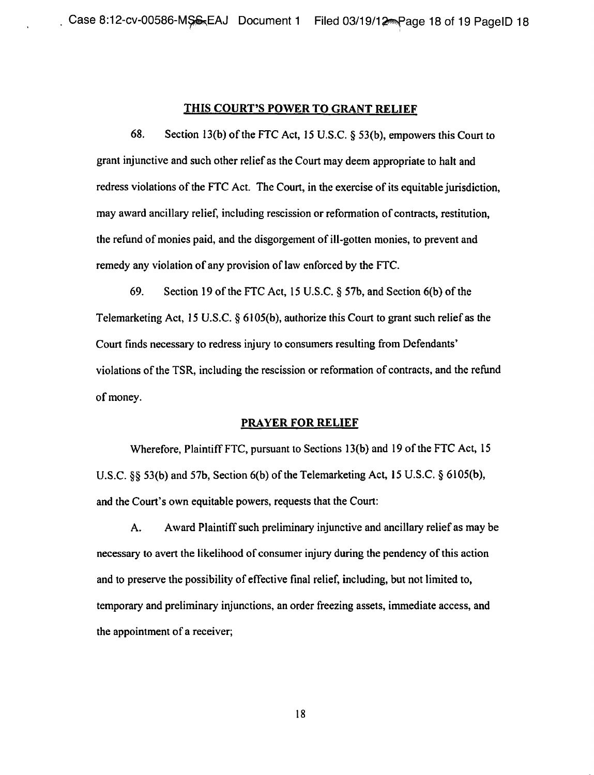#### THIS **COURT'S POWER TO GRANT RELIEF**

68. Section 13(b) of the FTC Act, 15 U.S.C. § 53(b), empowers this Court to grant injunctive and such other relief as the Court may deem appropriate to halt and redress violations of the FTC Act. The Court, in the exercise of its equitable jurisdiction, may award ancillary relief, including rescission or reformation of contracts, restitution, the refund of monies paid, and the disgorgement of ill-gotten monies, to prevent and remedy any violation of any provision of law enforced by the FTC.

69. Se ction 19 of the FTC Act, 15 U.S.C. g 57b, and Section 6(b) of the Telemarketing Act, 15 U.S.C. g 6105(b), authorize this Court to grant such relief as the Court finds necessary to redress injury to consumers resulting from Defendants' violations of the TSR, including the rescission or reformation of contracts, and the refund of money.

#### **PRAYER FOR RELIEF**

Wherefore, Plaintiff FTC, pursuant to Sections 13(b) and 19 of the FTC Act, 15 U.S.C.  $\S$  53(b) and 57b, Section 6(b) of the Telemarketing Act, 15 U.S.C.  $\S$  6105(b), and the Court's own equitable powers, requests that the Court:

A. Award Plaintiff such preliminary injunctive and ancillary relief as may be necessary to avert the likelihood of consumer injury during the pendency of this action and to preserve the possibility of effective final relief, including, but not limited to, temporary and preliminary injunctions, an order freezing assets, immediate access, and the appointment of a receiver;